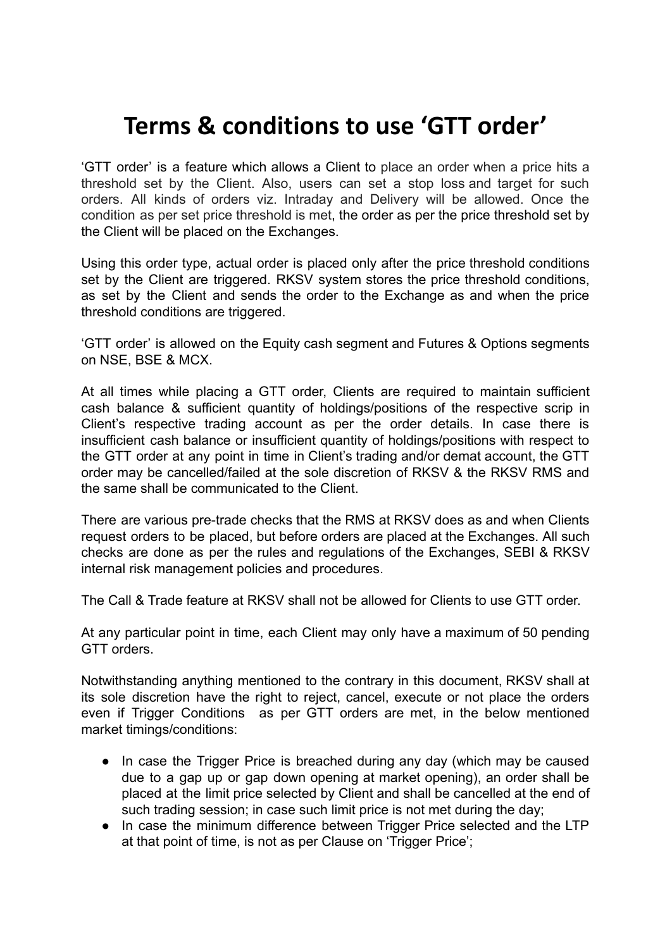# **Terms & conditions to use 'GTT order'**

'GTT order' is a feature which allows a Client to place an order when a price hits a threshold set by the Client. Also, users can set a stop loss and target for such orders. All kinds of orders viz. Intraday and Delivery will be allowed. Once the condition as per set price threshold is met, the order as per the price threshold set by the Client will be placed on the Exchanges.

Using this order type, actual order is placed only after the price threshold conditions set by the Client are triggered. RKSV system stores the price threshold conditions, as set by the Client and sends the order to the Exchange as and when the price threshold conditions are triggered.

'GTT order' is allowed on the Equity cash segment and Futures & Options segments on NSE, BSE & MCX.

At all times while placing a GTT order, Clients are required to maintain sufficient cash balance & sufficient quantity of holdings/positions of the respective scrip in Client's respective trading account as per the order details. In case there is insufficient cash balance or insufficient quantity of holdings/positions with respect to the GTT order at any point in time in Client's trading and/or demat account, the GTT order may be cancelled/failed at the sole discretion of RKSV & the RKSV RMS and the same shall be communicated to the Client.

There are various pre-trade checks that the RMS at RKSV does as and when Clients request orders to be placed, but before orders are placed at the Exchanges. All such checks are done as per the rules and regulations of the Exchanges, SEBI & RKSV internal risk management policies and procedures.

The Call & Trade feature at RKSV shall not be allowed for Clients to use GTT order.

At any particular point in time, each Client may only have a maximum of 50 pending GTT orders.

Notwithstanding anything mentioned to the contrary in this document, RKSV shall at its sole discretion have the right to reject, cancel, execute or not place the orders even if Trigger Conditions as per GTT orders are met, in the below mentioned market timings/conditions:

- In case the Trigger Price is breached during any day (which may be caused due to a gap up or gap down opening at market opening), an order shall be placed at the limit price selected by Client and shall be cancelled at the end of such trading session; in case such limit price is not met during the day;
- In case the minimum difference between Trigger Price selected and the LTP at that point of time, is not as per Clause on 'Trigger Price';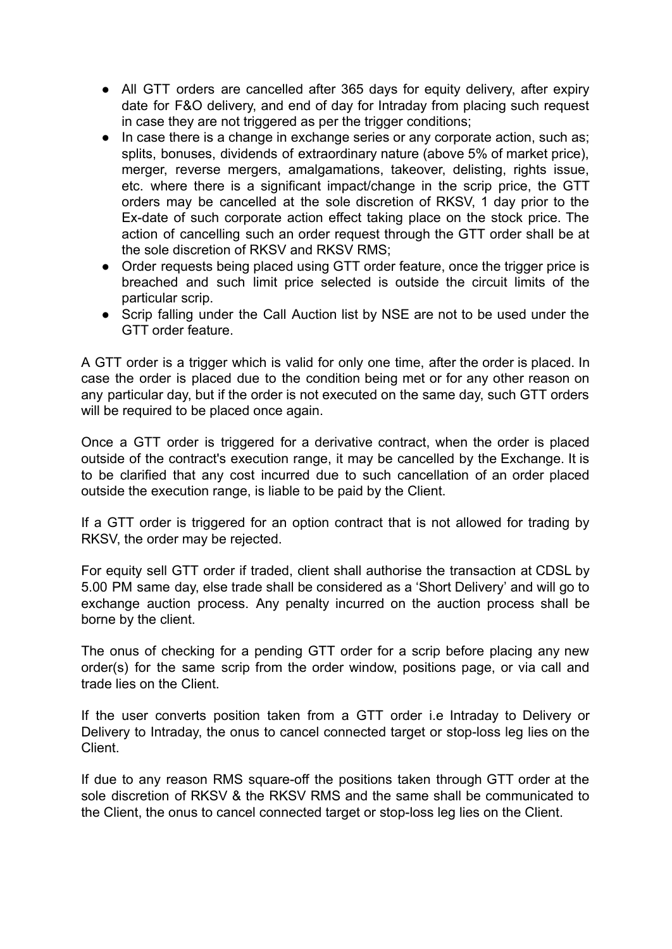- All GTT orders are cancelled after 365 days for equity delivery, after expiry date for F&O delivery, and end of day for Intraday from placing such request in case they are not triggered as per the trigger conditions;
- In case there is a change in exchange series or any corporate action, such as; splits, bonuses, dividends of extraordinary nature (above 5% of market price), merger, reverse mergers, amalgamations, takeover, delisting, rights issue, etc. where there is a significant impact/change in the scrip price, the GTT orders may be cancelled at the sole discretion of RKSV, 1 day prior to the Ex-date of such corporate action effect taking place on the stock price. The action of cancelling such an order request through the GTT order shall be at the sole discretion of RKSV and RKSV RMS;
- Order requests being placed using GTT order feature, once the trigger price is breached and such limit price selected is outside the circuit limits of the particular scrip.
- Scrip falling under the Call Auction list by NSE are not to be used under the GTT order feature.

A GTT order is a trigger which is valid for only one time, after the order is placed. In case the order is placed due to the condition being met or for any other reason on any particular day, but if the order is not executed on the same day, such GTT orders will be required to be placed once again.

Once a GTT order is triggered for a derivative contract, when the order is placed outside of the contract's [execution](https://support.zerodha.com/category/trading-and-markets/trading-faqs/articles/difference-between-execution-range-and-circuit-limit-fo) range, it may be cancelled by the Exchange. It is to be clarified that any cost incurred due to such cancellation of an order placed outside the execution range, is liable to be paid by the Client.

If a GTT order is triggered for an option contract that is not allowed for trading by RKSV, the order may be rejected.

For equity sell GTT order if traded, client shall authorise the transaction at CDSL by 5.00 PM same day, else trade shall be considered as a 'Short Delivery' and will go to exchange auction process. Any penalty incurred on the auction process shall be borne by the client.

The onus of checking for a pending GTT order for a scrip before placing any new order(s) for the same scrip from the order window, positions page, or via call and trade lies on the Client.

If the user converts position taken from a GTT order i.e Intraday to Delivery or Delivery to Intraday, the onus to cancel connected target or stop-loss leg lies on the Client.

If due to any reason RMS square-off the positions taken through GTT order at the sole discretion of RKSV & the RKSV RMS and the same shall be communicated to the Client, the onus to cancel connected target or stop-loss leg lies on the Client.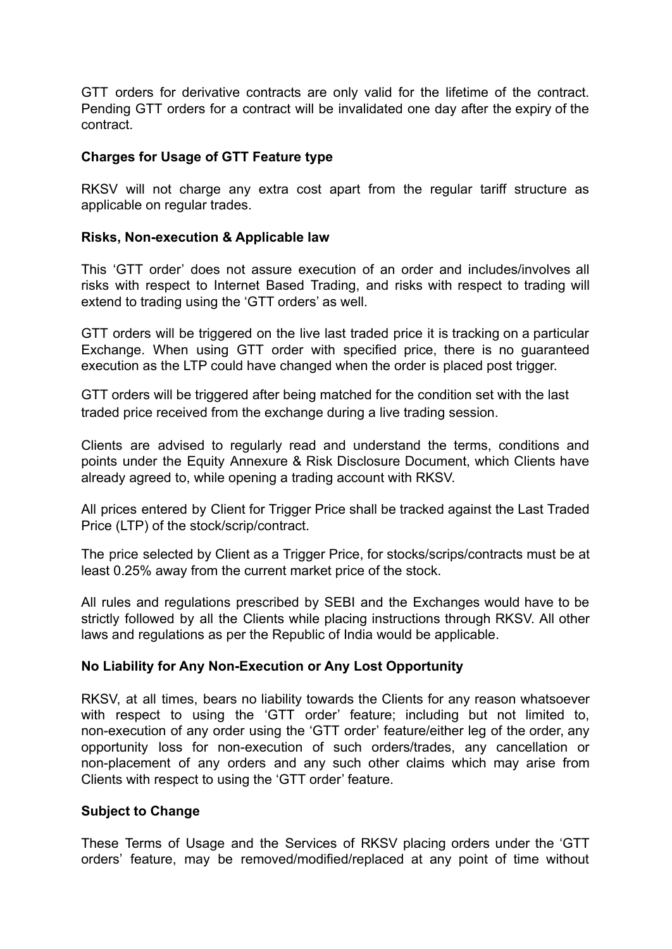GTT orders for derivative contracts are only valid for the lifetime of the contract. Pending GTT orders for a contract will be invalidated one day after the expiry of the contract.

## **Charges for Usage of GTT Feature type**

RKSV will not charge any extra cost apart from the regular tariff structure as applicable on regular trades.

## **Risks, Non-execution & Applicable law**

This 'GTT order' does not assure execution of an order and includes/involves all risks with respect to Internet Based Trading, and risks with respect to trading will extend to trading using the 'GTT orders' as well.

GTT orders will be triggered on the live last traded price it is tracking on a particular Exchange. When using GTT order with specified price, there is no guaranteed execution as the LTP could have changed when the order is placed post trigger.

GTT orders will be triggered after being matched for the condition set with the last traded price received from the exchange during a live trading session.

Clients are advised to regularly read and understand the terms, conditions and points under the Equity Annexure & Risk Disclosure Document, which Clients have already agreed to, while opening a trading account with RKSV.

All prices entered by Client for Trigger Price shall be tracked against the Last Traded Price (LTP) of the stock/scrip/contract.

The price selected by Client as a Trigger Price, for stocks/scrips/contracts must be at least 0.25% away from the current market price of the stock.

All rules and regulations prescribed by SEBI and the Exchanges would have to be strictly followed by all the Clients while placing instructions through RKSV. All other laws and regulations as per the Republic of India would be applicable.

### **No Liability for Any Non-Execution or Any Lost Opportunity**

RKSV, at all times, bears no liability towards the Clients for any reason whatsoever with respect to using the 'GTT order' feature; including but not limited to, non-execution of any order using the 'GTT order' feature/either leg of the order, any opportunity loss for non-execution of such orders/trades, any cancellation or non-placement of any orders and any such other claims which may arise from Clients with respect to using the 'GTT order' feature.

### **Subject to Change**

These Terms of Usage and the Services of RKSV placing orders under the 'GTT orders' feature, may be removed/modified/replaced at any point of time without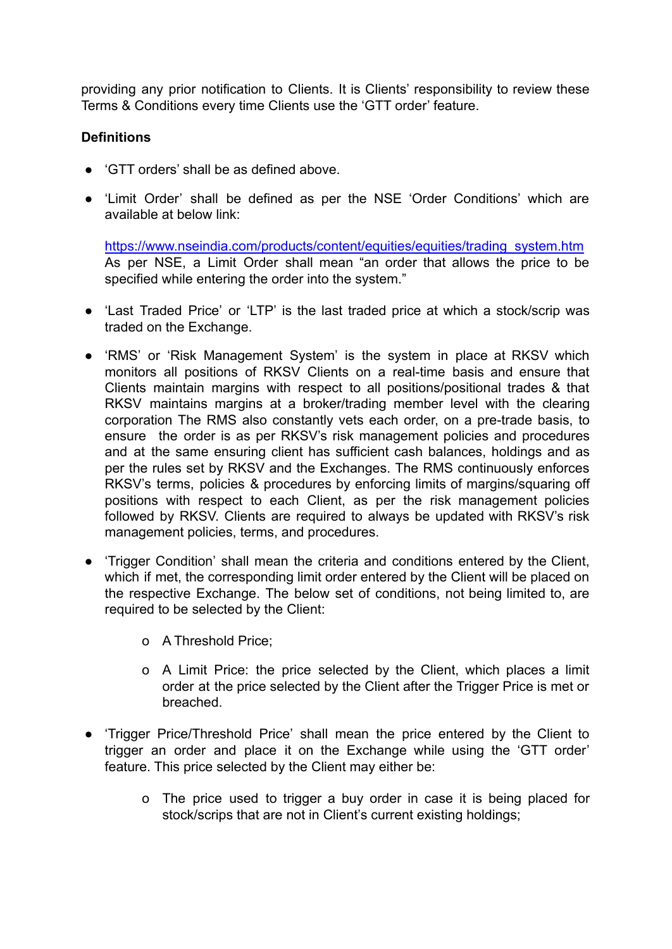providing any prior notification to Clients. It is Clients' responsibility to review these Terms & Conditions every time Clients use the 'GTT order' feature.

# **Definitions**

- 'GTT orders' shall be as defined above
- 'Limit Order' shall be defined as per the NSE 'Order Conditions' which are available at below link:

[https://www.nseindia.com/products/content/equities/equities/trading\\_system.htm](https://www.nseindia.com/products/content/equities/equities/trading_system.htm) As per NSE, a Limit Order shall mean "an order that allows the price to be specified while entering the order into the system."

- 'Last Traded Price' or 'LTP' is the last traded price at which a stock/scrip was traded on the Exchange.
- 'RMS' or 'Risk Management System' is the system in place at RKSV which monitors all positions of RKSV Clients on a real-time basis and ensure that Clients maintain margins with respect to all positions/positional trades & that RKSV maintains margins at a broker/trading member level with the clearing corporation The RMS also constantly vets each order, on a pre-trade basis, to ensure the order is as per RKSV's risk management policies and procedures and at the same ensuring client has sufficient cash balances, holdings and as per the rules set by RKSV and the Exchanges. The RMS continuously enforces RKSV's terms, policies & procedures by enforcing limits of margins/squaring off positions with respect to each Client, as per the risk management policies followed by RKSV. Clients are required to always be updated with RKSV's risk management policies, terms, and procedures.
- 'Trigger Condition' shall mean the criteria and conditions entered by the Client, which if met, the corresponding limit order entered by the Client will be placed on the respective Exchange. The below set of conditions, not being limited to, are required to be selected by the Client:
	- o A Threshold Price;
	- o A Limit Price: the price selected by the Client, which places a limit order at the price selected by the Client after the Trigger Price is met or breached.
- 'Trigger Price/Threshold Price' shall mean the price entered by the Client to trigger an order and place it on the Exchange while using the 'GTT order' feature. This price selected by the Client may either be:
	- o The price used to trigger a buy order in case it is being placed for stock/scrips that are not in Client's current existing holdings;